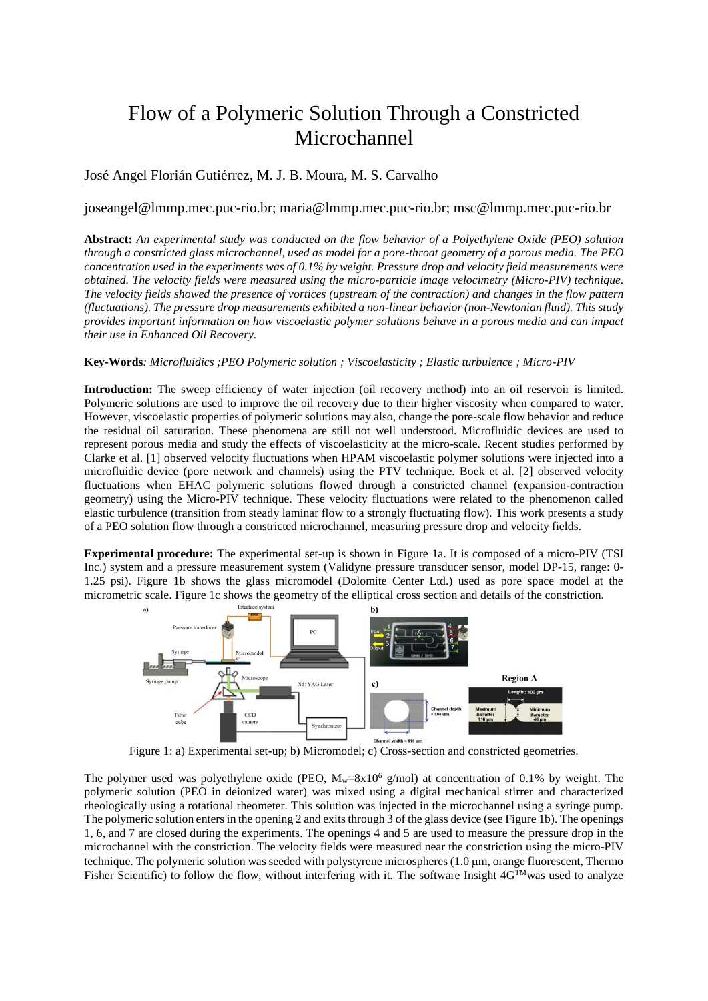# Flow of a Polymeric Solution Through a Constricted **Microchannel**

## José Angel Florián Gutiérrez, M. J. B. Moura, M. S. Carvalho

### joseangel@lmmp.mec.puc-rio.br; maria@lmmp.mec.puc-rio.br; msc@lmmp.mec.puc-rio.br

**Abstract:** *An experimental study was conducted on the flow behavior of a Polyethylene Oxide (PEO) solution through a constricted glass microchannel, used as model for a pore-throat geometry of a porous media. The PEO concentration used in the experiments was of 0.1% by weight. Pressure drop and velocity field measurements were obtained. The velocity fields were measured using the micro-particle image velocimetry (Micro-PIV) technique. The velocity fields showed the presence of vortices (upstream of the contraction) and changes in the flow pattern (fluctuations). The pressure drop measurements exhibited a non-linear behavior (non-Newtonian fluid). This study provides important information on how viscoelastic polymer solutions behave in a porous media and can impact their use in Enhanced Oil Recovery.* 

#### **Key-Words***: Microfluidics ;PEO Polymeric solution ; Viscoelasticity ; Elastic turbulence ; Micro-PIV*

**Introduction:** The sweep efficiency of water injection (oil recovery method) into an oil reservoir is limited. Polymeric solutions are used to improve the oil recovery due to their higher viscosity when compared to water. However, viscoelastic properties of polymeric solutions may also, change the pore-scale flow behavior and reduce the residual oil saturation. These phenomena are still not well understood. Microfluidic devices are used to represent porous media and study the effects of viscoelasticity at the micro-scale. Recent studies performed by Clarke et al. [1] observed velocity fluctuations when HPAM viscoelastic polymer solutions were injected into a microfluidic device (pore network and channels) using the PTV technique. Boek et al. [2] observed velocity fluctuations when EHAC polymeric solutions flowed through a constricted channel (expansion-contraction geometry) using the Micro-PIV technique. These velocity fluctuations were related to the phenomenon called elastic turbulence (transition from steady laminar flow to a strongly fluctuating flow). This work presents a study of a PEO solution flow through a constricted microchannel, measuring pressure drop and velocity fields.

**Experimental procedure:** The experimental set-up is shown in Figure 1a. It is composed of a micro-PIV (TSI Inc.) system and a pressure measurement system (Validyne pressure transducer sensor, model DP-15, range: 0- 1.25 psi). Figure 1b shows the glass micromodel (Dolomite Center Ltd.) used as pore space model at the micrometric scale. Figure 1c shows the geometry of the elliptical cross section and details of the constriction.



Figure 1: a) Experimental set-up; b) Micromodel; c) Cross-section and constricted geometries.

The polymer used was polyethylene oxide (PEO,  $M_w=8x10^6$  g/mol) at concentration of 0.1% by weight. The polymeric solution (PEO in deionized water) was mixed using a digital mechanical stirrer and characterized rheologically using a rotational rheometer. This solution was injected in the microchannel using a syringe pump. The polymeric solution enters in the opening 2 and exits through 3 of the glass device (see Figure 1b). The openings 1, 6, and 7 are closed during the experiments. The openings 4 and 5 are used to measure the pressure drop in the microchannel with the constriction. The velocity fields were measured near the constriction using the micro-PIV technique. The polymeric solution was seeded with polystyrene microspheres  $(1.0 \mu m)$ , orange fluorescent, Thermo Fisher Scientific) to follow the flow, without interfering with it. The software Insight  $4G^{TM}$ was used to analyze